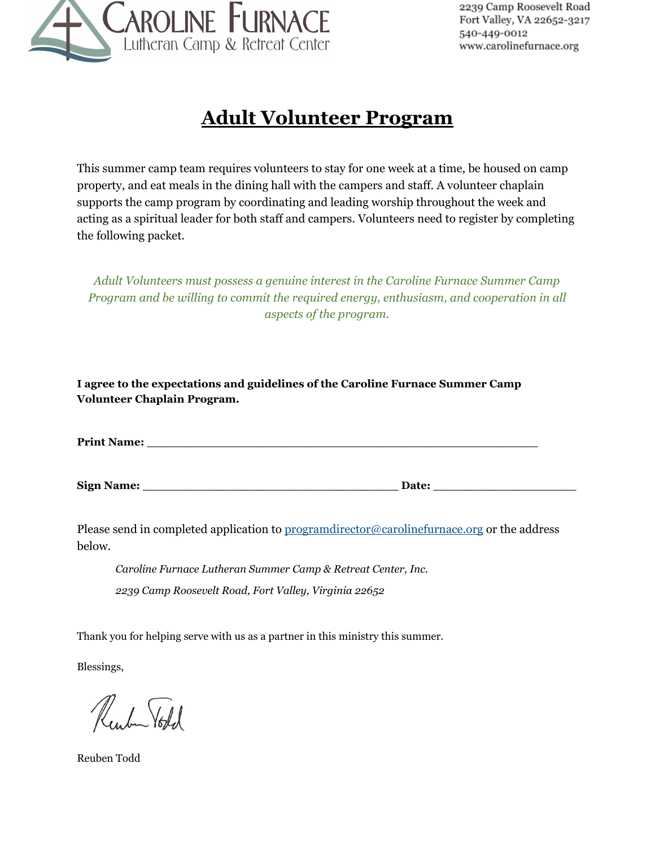

# **Adult Volunteer Program**

This summer camp team requires volunteers to stay for one week at a time, be housed on camp property, and eat meals in the dining hall with the campers and staff. A volunteer chaplain supports the camp program by coordinating and leading worship throughout the week and acting as a spiritual leader for both staff and campers. Volunteers need to register by completing the following packet.

*Adult Volunteers must possess a genuine interest in the Caroline Furnace Summer Camp Program and be willing to commit the required energy, enthusiasm, and cooperation in all aspects of the program.*

**I agree to the expectations and guidelines of the Caroline Furnace Summer Camp Volunteer Chaplain Program.**

| <b>Print Name:</b> |
|--------------------|
|--------------------|

**Sign** Name: **Date:** 

Please send in completed application to [programdirector](mailto:programdirector@carolinefurnace.org)[@carolinefurnace.org](mailto:reuben@carolinefurnace.org) or the address below.

*Caroline Furnace Lutheran Summer Camp & Retreat Center, Inc. 2239 Camp Roosevelt Road, Fort Valley, Virginia 22652*

Thank you for helping serve with us as a partner in this ministry this summer.

Blessings,

unber Vold

Reuben Todd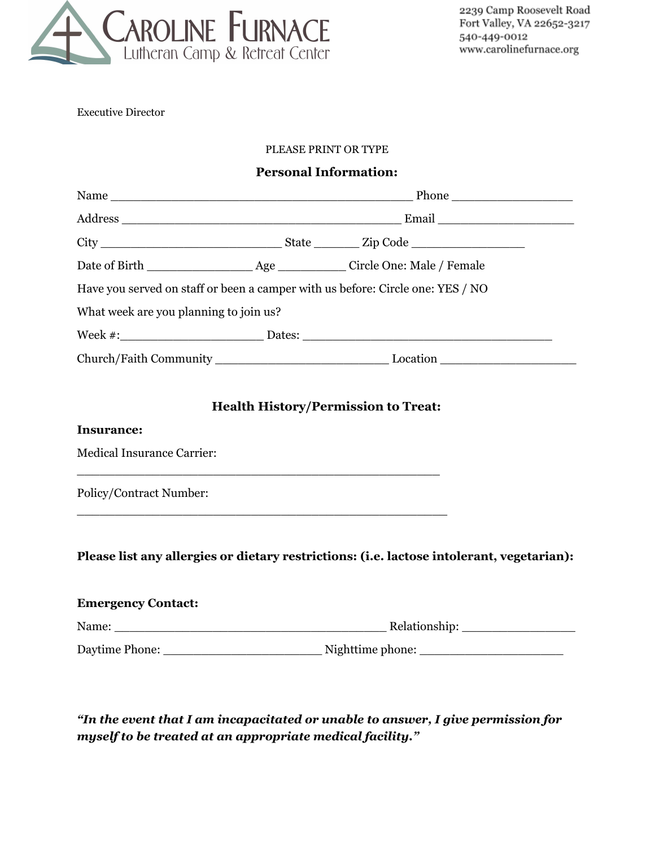

Executive Director

#### PLEASE PRINT OR TYPE

### **Personal Information:**

| Have you served on staff or been a camper with us before: Circle one: YES / NO |  |                                                                                           |  |  |  |  |
|--------------------------------------------------------------------------------|--|-------------------------------------------------------------------------------------------|--|--|--|--|
| What week are you planning to join us?                                         |  |                                                                                           |  |  |  |  |
|                                                                                |  |                                                                                           |  |  |  |  |
|                                                                                |  |                                                                                           |  |  |  |  |
| <b>Insurance:</b><br><b>Medical Insurance Carrier:</b>                         |  | <b>Health History/Permission to Treat:</b>                                                |  |  |  |  |
| Policy/Contract Number:                                                        |  |                                                                                           |  |  |  |  |
|                                                                                |  | Please list any allergies or dietary restrictions: (i.e. lactose intolerant, vegetarian): |  |  |  |  |
| <b>Emergency Contact:</b>                                                      |  |                                                                                           |  |  |  |  |
|                                                                                |  |                                                                                           |  |  |  |  |

Daytime Phone: \_\_\_\_\_\_\_\_\_\_\_\_\_\_\_\_\_\_\_\_\_ Nighttime phone: \_\_\_\_\_\_\_\_\_\_\_\_\_\_\_\_\_\_\_

*"In the event that I am incapacitated or unable to answer, I give permission for myself to be treated at an appropriate medical facility."*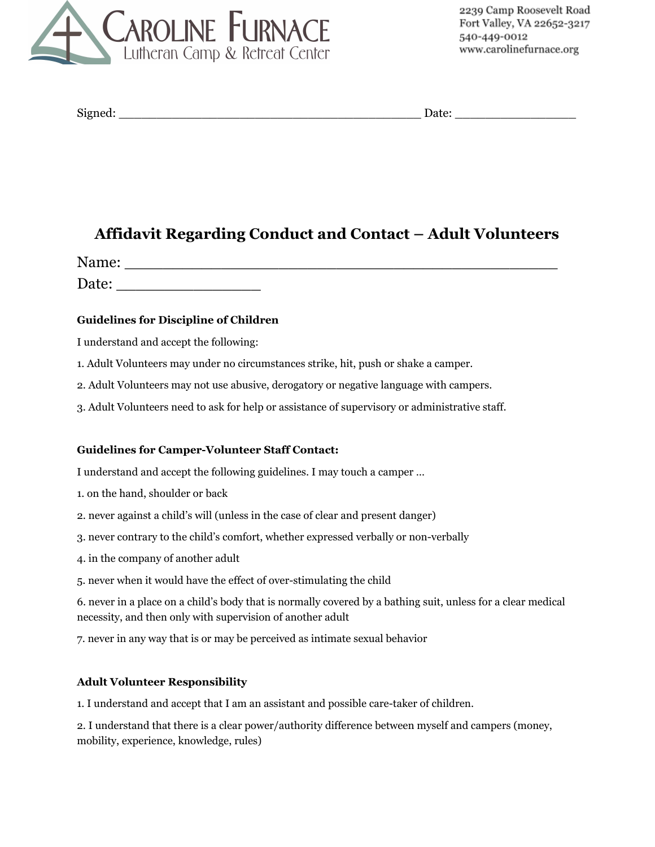

| <b>Signed</b> |  |
|---------------|--|
|               |  |

 $\text{Date:}$ 

# **Affidavit Regarding Conduct and Contact – Adult Volunteers**

Name: \_\_\_\_\_\_\_\_\_\_\_\_\_\_\_\_\_\_\_\_\_\_\_\_\_\_\_\_\_\_\_\_\_\_\_\_\_\_\_\_\_\_\_\_\_ Date: \_\_\_\_\_\_\_\_\_\_\_\_\_\_\_

#### **Guidelines for Discipline of Children**

I understand and accept the following:

- 1. Adult Volunteers may under no circumstances strike, hit, push or shake a camper.
- 2. Adult Volunteers may not use abusive, derogatory or negative language with campers.
- 3. Adult Volunteers need to ask for help or assistance of supervisory or administrative staff.

#### **Guidelines for Camper-Volunteer Staff Contact:**

I understand and accept the following guidelines. I may touch a camper …

- 1. on the hand, shoulder or back
- 2. never against a child's will (unless in the case of clear and present danger)
- 3. never contrary to the child's comfort, whether expressed verbally or non-verbally
- 4. in the company of another adult
- 5. never when it would have the effect of over-stimulating the child

6. never in a place on a child's body that is normally covered by a bathing suit, unless for a clear medical necessity, and then only with supervision of another adult

7. never in any way that is or may be perceived as intimate sexual behavior

#### **Adult Volunteer Responsibility**

1. I understand and accept that I am an assistant and possible care-taker of children.

2. I understand that there is a clear power/authority difference between myself and campers (money, mobility, experience, knowledge, rules)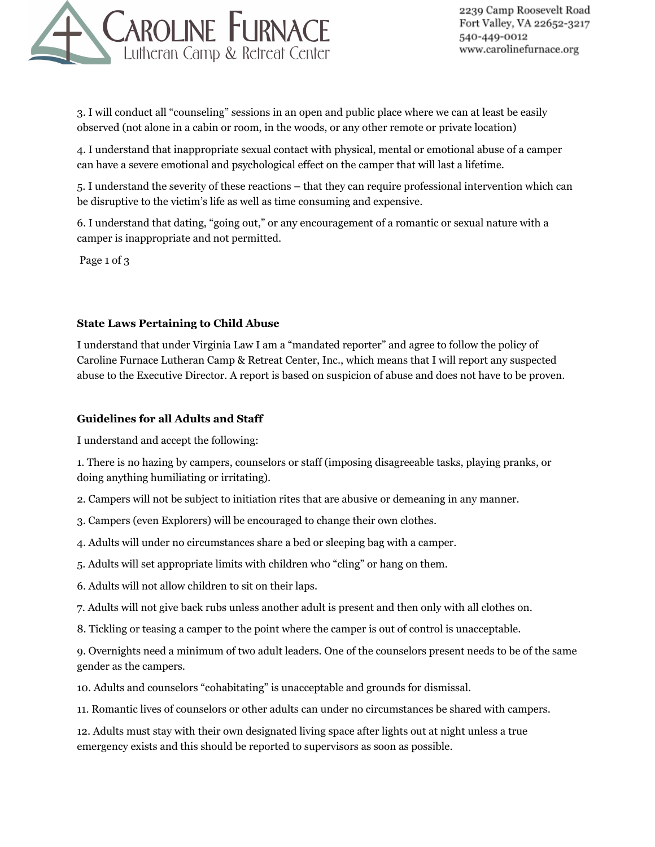

3. I will conduct all "counseling" sessions in an open and public place where we can at least be easily observed (not alone in a cabin or room, in the woods, or any other remote or private location)

4. I understand that inappropriate sexual contact with physical, mental or emotional abuse of a camper can have a severe emotional and psychological effect on the camper that will last a lifetime.

5. I understand the severity of these reactions – that they can require professional intervention which can be disruptive to the victim's life as well as time consuming and expensive.

6. I understand that dating, "going out," or any encouragement of a romantic or sexual nature with a camper is inappropriate and not permitted.

Page 1 of 3

#### **State Laws Pertaining to Child Abuse**

I understand that under Virginia Law I am a "mandated reporter" and agree to follow the policy of Caroline Furnace Lutheran Camp & Retreat Center, Inc., which means that I will report any suspected abuse to the Executive Director. A report is based on suspicion of abuse and does not have to be proven.

#### **Guidelines for all Adults and Staff**

I understand and accept the following:

1. There is no hazing by campers, counselors or staff (imposing disagreeable tasks, playing pranks, or doing anything humiliating or irritating).

- 2. Campers will not be subject to initiation rites that are abusive or demeaning in any manner.
- 3. Campers (even Explorers) will be encouraged to change their own clothes.
- 4. Adults will under no circumstances share a bed or sleeping bag with a camper.
- 5. Adults will set appropriate limits with children who "cling" or hang on them.
- 6. Adults will not allow children to sit on their laps.
- 7. Adults will not give back rubs unless another adult is present and then only with all clothes on.
- 8. Tickling or teasing a camper to the point where the camper is out of control is unacceptable.

9. Overnights need a minimum of two adult leaders. One of the counselors present needs to be of the same gender as the campers.

10. Adults and counselors "cohabitating" is unacceptable and grounds for dismissal.

11. Romantic lives of counselors or other adults can under no circumstances be shared with campers.

12. Adults must stay with their own designated living space after lights out at night unless a true emergency exists and this should be reported to supervisors as soon as possible.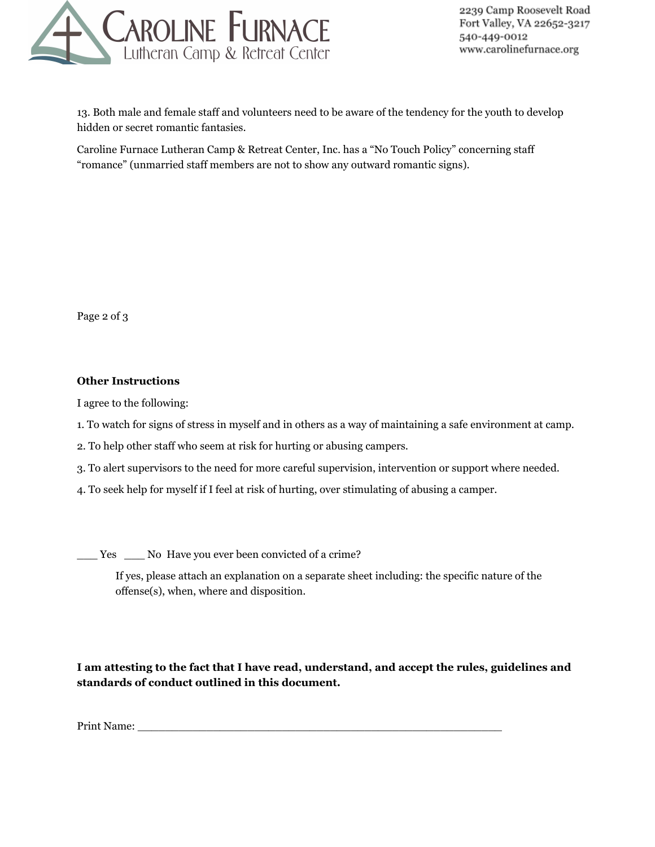

13. Both male and female staff and volunteers need to be aware of the tendency for the youth to develop hidden or secret romantic fantasies.

Caroline Furnace Lutheran Camp & Retreat Center, Inc. has a "No Touch Policy" concerning staff "romance" (unmarried staff members are not to show any outward romantic signs).

Page 2 of 3

#### **Other Instructions**

I agree to the following:

- 1. To watch for signs of stress in myself and in others as a way of maintaining a safe environment at camp.
- 2. To help other staff who seem at risk for hurting or abusing campers.
- 3. To alert supervisors to the need for more careful supervision, intervention or support where needed.
- 4. To seek help for myself if I feel at risk of hurting, over stimulating of abusing a camper.

\_\_\_ Yes \_\_\_ No Have you ever been convicted of a crime?

If yes, please attach an explanation on a separate sheet including: the specific nature of the offense(s), when, where and disposition.

**I am attesting to the fact that I have read, understand, and accept the rules, guidelines and standards of conduct outlined in this document.**

Print Name: \_\_\_\_\_\_\_\_\_\_\_\_\_\_\_\_\_\_\_\_\_\_\_\_\_\_\_\_\_\_\_\_\_\_\_\_\_\_\_\_\_\_\_\_\_\_\_\_\_\_\_\_\_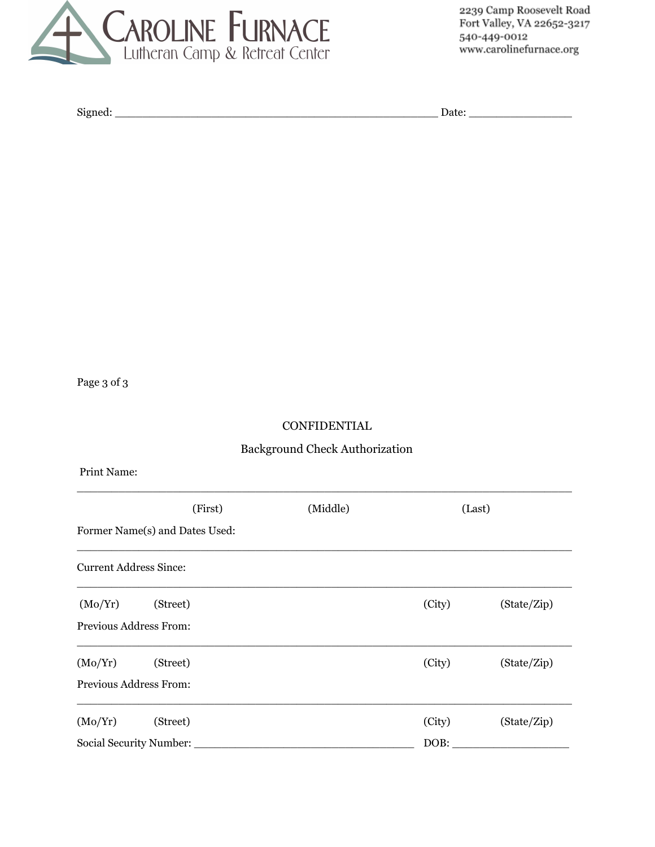

Signed: \_\_\_\_\_\_\_\_\_\_\_\_\_\_\_\_\_\_\_\_\_\_\_\_\_\_\_\_\_\_\_\_\_\_\_\_\_\_\_\_\_\_\_\_\_\_\_ Date: \_\_\_\_\_\_\_\_\_\_\_\_\_\_\_

Page 3 of 3

#### CONFIDENTIAL

## Background Check Authorization

Print Name:

|                                | (First)  | (Middle) |        | (Last)      |  |  |
|--------------------------------|----------|----------|--------|-------------|--|--|
| Former Name(s) and Dates Used: |          |          |        |             |  |  |
| <b>Current Address Since:</b>  |          |          |        |             |  |  |
| (Mo/Yr)                        | (Street) |          | (City) | (State/Zip) |  |  |
| Previous Address From:         |          |          |        |             |  |  |
| (Mo/Yr)                        | (Street) |          | (City) | (State/Zip) |  |  |
| Previous Address From:         |          |          |        |             |  |  |
| (Mo/Yr)                        | (Street) |          | (City) | (State/Zip) |  |  |
| Social Security Number:        |          |          | DOB:   |             |  |  |